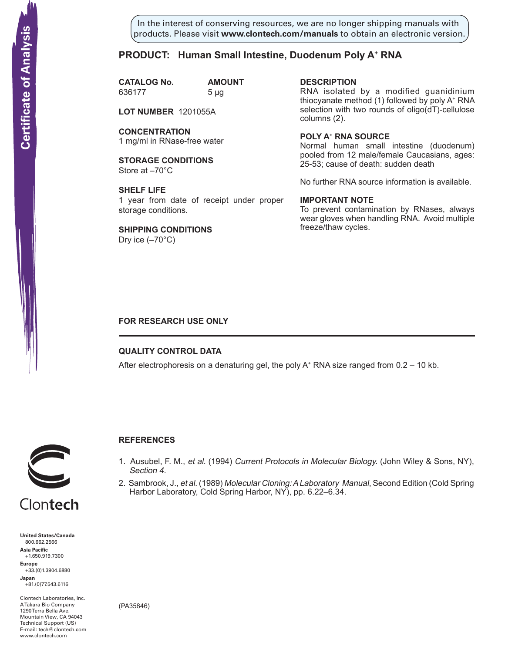In the interest of conserving resources, we are no longer shipping manuals with products. Please visit **www.clontech.com/manuals** to obtain an electronic version.

# **PRODUCT: Human Small Intestine, Duodenum Poly A+ RNA**

**CATALOG No. AMOUNT** 636177 5 µg

**LOT NUMBER** 1201055A

**CONCENTRATION** 1 mg/ml in RNase-free water

**STORAGE CONDITIONS** Store at –70°C

**SHELF LIFE** 1 year from date of receipt under proper storage conditions.

**SHIPPING CONDITIONS** Dry ice  $(-70^{\circ}C)$ 

**description** RNA isolated by a modified guanidinium thiocyanate method (1) followed by poly A+ RNA selection with two rounds of oligo(dT)-cellulose columns (2).

**Poly a+ RNA source** Normal human small intestine (duodenum) pooled from 12 male/female Caucasians, ages: 25-53; cause of death: sudden death

No further RNA source information is available.

### **IMPORTANT NOTE**

To prevent contamination by RNases, always wear gloves when handling RNA. Avoid multiple freeze/thaw cycles.

## **FOR RESEARCH USE ONLY**

### **QUALITY CONTROL DATA**

After electrophoresis on a denaturing gel, the poly  $A^+$  RNA size ranged from 0.2 – 10 kb.



# **References**

- 1. Ausubel, F. M., et al. (1994) Current Protocols in Molecular Biology. (John Wiley & Sons, NY), Section 4.
- 2. Sambrook, J., et al. (1989) Molecular Cloning: A Laboratory Manual, Second Edition (Cold Spring Harbor Laboratory, Cold Spring Harbor, NY), pp. 6.22–6.34.



**United States/Canada** 800.662.2566 **Asia Pacific** +1.650.919.7300 **Europe** +33.(0)1.3904.6880 **Japan** +81.(0)77.543.6116 **Solution Control Control Control Control Control Control Control Control Control Control Control Control Control Control Control Control Control Control Control Control Control Control Control Control Control Control Cont** 

Clontech Laboratories, Inc. A Takara Bio Company 1290 Terra Bella Ave. Mountain View, CA 94043 Technical Support (US) E-mail: tech@clontech.com<br>www.clontech.com

(PA35846)